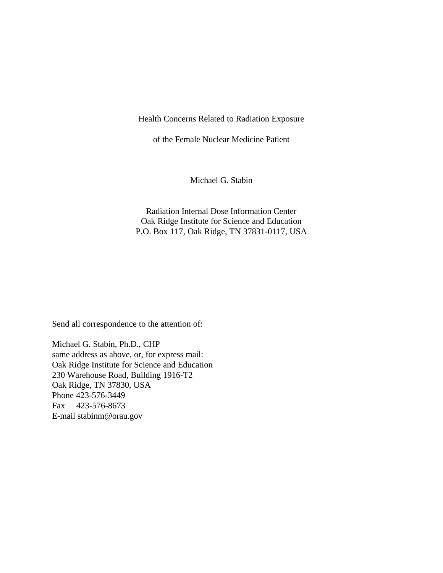Health Concerns Related to Radiation Exposure

of the Female Nuclear Medicine Patient

Michael G. Stabin

Radiation Internal Dose Information Center Oak Ridge Institute for Science and Education P.O. Box 117, Oak Ridge, TN 37831-0117, USA

Send all correspondence to the attention of:

Michael G. Stabin, Ph.D., CHP same address as above, or, for express mail: Oak Ridge Institute for Science and Education 230 Warehouse Road, Building 1916-T2 Oak Ridge, TN 37830, USA Phone 423-576-3449 Fax 423-576-8673 E-mail [stabinm@orau.gov](mailto:stabinm@orau.gov)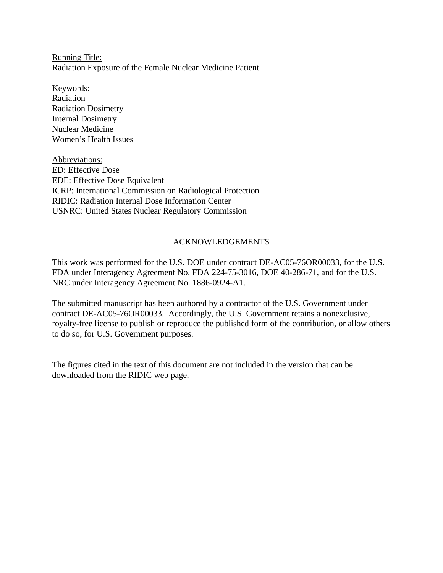Running Title: Radiation Exposure of the Female Nuclear Medicine Patient

Keywords: Radiation Radiation Dosimetry Internal Dosimetry Nuclear Medicine Women's Health Issues

Abbreviations: ED: Effective Dose EDE: Effective Dose Equivalent ICRP: International Commission on Radiological Protection RIDIC: Radiation Internal Dose Information Center USNRC: United States Nuclear Regulatory Commission

# ACKNOWLEDGEMENTS

This work was performed for the U.S. DOE under contract DE-AC05-76OR00033, for the U.S. FDA under Interagency Agreement No. FDA 224-75-3016, DOE 40-286-71, and for the U.S. NRC under Interagency Agreement No. 1886-0924-A1.

The submitted manuscript has been authored by a contractor of the U.S. Government under contract DE-AC05-76OR00033. Accordingly, the U.S. Government retains a nonexclusive, royalty-free license to publish or reproduce the published form of the contribution, or allow others to do so, for U.S. Government purposes.

The figures cited in the text of this document are not included in the version that can be downloaded from the RIDIC web page.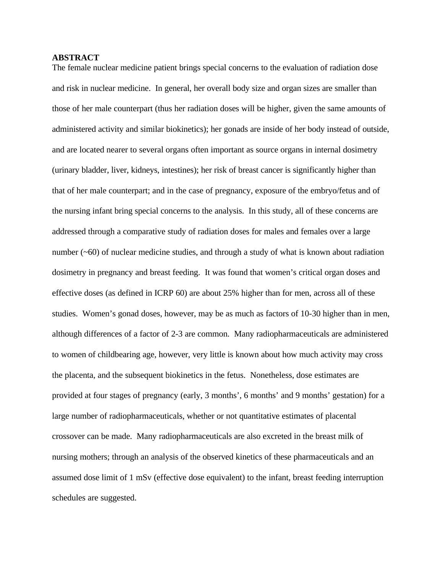## **ABSTRACT**

The female nuclear medicine patient brings special concerns to the evaluation of radiation dose and risk in nuclear medicine. In general, her overall body size and organ sizes are smaller than those of her male counterpart (thus her radiation doses will be higher, given the same amounts of administered activity and similar biokinetics); her gonads are inside of her body instead of outside, and are located nearer to several organs often important as source organs in internal dosimetry (urinary bladder, liver, kidneys, intestines); her risk of breast cancer is significantly higher than that of her male counterpart; and in the case of pregnancy, exposure of the embryo/fetus and of the nursing infant bring special concerns to the analysis. In this study, all of these concerns are addressed through a comparative study of radiation doses for males and females over a large number  $(\sim 60)$  of nuclear medicine studies, and through a study of what is known about radiation dosimetry in pregnancy and breast feeding. It was found that women's critical organ doses and effective doses (as defined in ICRP 60) are about 25% higher than for men, across all of these studies. Women's gonad doses, however, may be as much as factors of 10-30 higher than in men, although differences of a factor of 2-3 are common. Many radiopharmaceuticals are administered to women of childbearing age, however, very little is known about how much activity may cross the placenta, and the subsequent biokinetics in the fetus. Nonetheless, dose estimates are provided at four stages of pregnancy (early, 3 months', 6 months' and 9 months' gestation) for a large number of radiopharmaceuticals, whether or not quantitative estimates of placental crossover can be made. Many radiopharmaceuticals are also excreted in the breast milk of nursing mothers; through an analysis of the observed kinetics of these pharmaceuticals and an assumed dose limit of 1 mSv (effective dose equivalent) to the infant, breast feeding interruption schedules are suggested.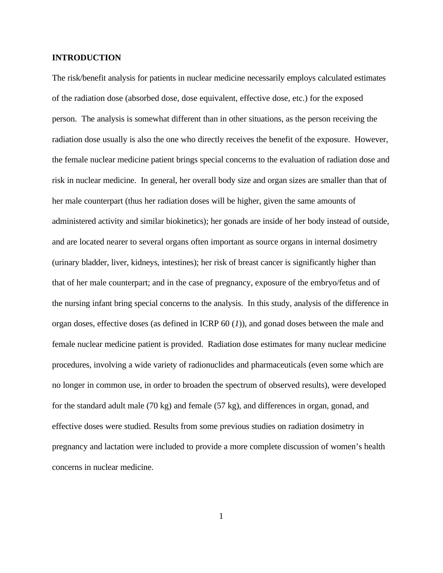## **INTRODUCTION**

The risk/benefit analysis for patients in nuclear medicine necessarily employs calculated estimates of the radiation dose (absorbed dose, dose equivalent, effective dose, etc.) for the exposed person. The analysis is somewhat different than in other situations, as the person receiving the radiation dose usually is also the one who directly receives the benefit of the exposure. However, the female nuclear medicine patient brings special concerns to the evaluation of radiation dose and risk in nuclear medicine. In general, her overall body size and organ sizes are smaller than that of her male counterpart (thus her radiation doses will be higher, given the same amounts of administered activity and similar biokinetics); her gonads are inside of her body instead of outside, and are located nearer to several organs often important as source organs in internal dosimetry (urinary bladder, liver, kidneys, intestines); her risk of breast cancer is significantly higher than that of her male counterpart; and in the case of pregnancy, exposure of the embryo/fetus and of the nursing infant bring special concerns to the analysis. In this study, analysis of the difference in organ doses, effective doses (as defined in ICRP 60 (*1*)), and gonad doses between the male and female nuclear medicine patient is provided. Radiation dose estimates for many nuclear medicine procedures, involving a wide variety of radionuclides and pharmaceuticals (even some which are no longer in common use, in order to broaden the spectrum of observed results), were developed for the standard adult male (70 kg) and female (57 kg), and differences in organ, gonad, and effective doses were studied. Results from some previous studies on radiation dosimetry in pregnancy and lactation were included to provide a more complete discussion of women's health concerns in nuclear medicine.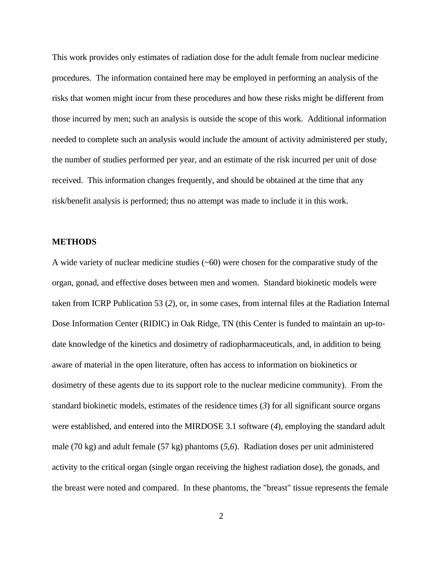This work provides only estimates of radiation dose for the adult female from nuclear medicine procedures. The information contained here may be employed in performing an analysis of the risks that women might incur from these procedures and how these risks might be different from those incurred by men; such an analysis is outside the scope of this work. Additional information needed to complete such an analysis would include the amount of activity administered per study, the number of studies performed per year, and an estimate of the risk incurred per unit of dose received. This information changes frequently, and should be obtained at the time that any risk/benefit analysis is performed; thus no attempt was made to include it in this work.

#### **METHODS**

A wide variety of nuclear medicine studies (~60) were chosen for the comparative study of the organ, gonad, and effective doses between men and women. Standard biokinetic models were taken from ICRP Publication 53 (*2*), or, in some cases, from internal files at the Radiation Internal Dose Information Center (RIDIC) in Oak Ridge, TN (this Center is funded to maintain an up-todate knowledge of the kinetics and dosimetry of radiopharmaceuticals, and, in addition to being aware of material in the open literature, often has access to information on biokinetics or dosimetry of these agents due to its support role to the nuclear medicine community). From the standard biokinetic models, estimates of the residence times (*3*) for all significant source organs were established, and entered into the MIRDOSE 3.1 software (*4*), employing the standard adult male (70 kg) and adult female (57 kg) phantoms (*5,6*). Radiation doses per unit administered activity to the critical organ (single organ receiving the highest radiation dose), the gonads, and the breast were noted and compared. In these phantoms, the "breast" tissue represents the female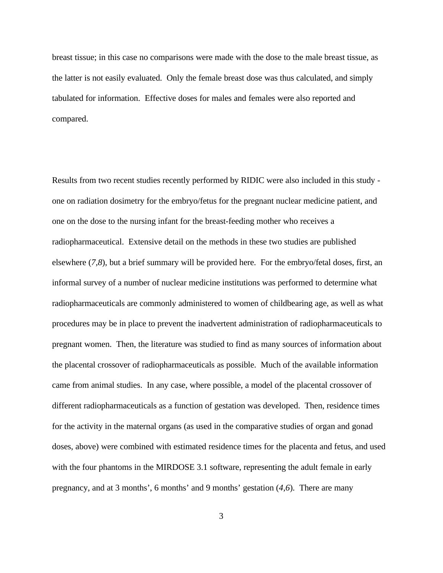breast tissue; in this case no comparisons were made with the dose to the male breast tissue, as the latter is not easily evaluated. Only the female breast dose was thus calculated, and simply tabulated for information. Effective doses for males and females were also reported and compared.

Results from two recent studies recently performed by RIDIC were also included in this study one on radiation dosimetry for the embryo/fetus for the pregnant nuclear medicine patient, and one on the dose to the nursing infant for the breast-feeding mother who receives a radiopharmaceutical. Extensive detail on the methods in these two studies are published elsewhere (*7,8*), but a brief summary will be provided here. For the embryo/fetal doses, first, an informal survey of a number of nuclear medicine institutions was performed to determine what radiopharmaceuticals are commonly administered to women of childbearing age, as well as what procedures may be in place to prevent the inadvertent administration of radiopharmaceuticals to pregnant women. Then, the literature was studied to find as many sources of information about the placental crossover of radiopharmaceuticals as possible. Much of the available information came from animal studies. In any case, where possible, a model of the placental crossover of different radiopharmaceuticals as a function of gestation was developed. Then, residence times for the activity in the maternal organs (as used in the comparative studies of organ and gonad doses, above) were combined with estimated residence times for the placenta and fetus, and used with the four phantoms in the MIRDOSE 3.1 software, representing the adult female in early pregnancy, and at 3 months', 6 months' and 9 months' gestation (*4,6*). There are many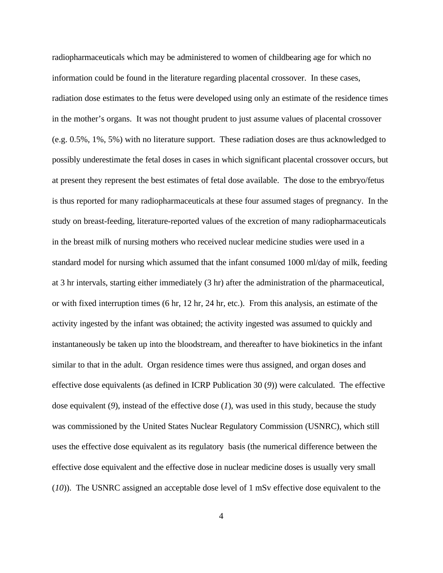radiopharmaceuticals which may be administered to women of childbearing age for which no information could be found in the literature regarding placental crossover. In these cases, radiation dose estimates to the fetus were developed using only an estimate of the residence times in the mother's organs. It was not thought prudent to just assume values of placental crossover (e.g. 0.5%, 1%, 5%) with no literature support. These radiation doses are thus acknowledged to possibly underestimate the fetal doses in cases in which significant placental crossover occurs, but at present they represent the best estimates of fetal dose available. The dose to the embryo/fetus is thus reported for many radiopharmaceuticals at these four assumed stages of pregnancy. In the study on breast-feeding, literature-reported values of the excretion of many radiopharmaceuticals in the breast milk of nursing mothers who received nuclear medicine studies were used in a standard model for nursing which assumed that the infant consumed 1000 ml/day of milk, feeding at 3 hr intervals, starting either immediately (3 hr) after the administration of the pharmaceutical, or with fixed interruption times (6 hr, 12 hr, 24 hr, etc.). From this analysis, an estimate of the activity ingested by the infant was obtained; the activity ingested was assumed to quickly and instantaneously be taken up into the bloodstream, and thereafter to have biokinetics in the infant similar to that in the adult. Organ residence times were thus assigned, and organ doses and effective dose equivalents (as defined in ICRP Publication 30 (*9*)) were calculated. The effective dose equivalent (*9*), instead of the effective dose (*1*), was used in this study, because the study was commissioned by the United States Nuclear Regulatory Commission (USNRC), which still uses the effective dose equivalent as its regulatory basis (the numerical difference between the effective dose equivalent and the effective dose in nuclear medicine doses is usually very small (*10*)). The USNRC assigned an acceptable dose level of 1 mSv effective dose equivalent to the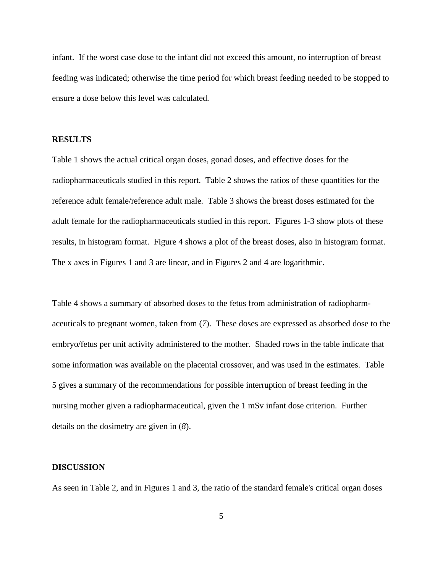infant. If the worst case dose to the infant did not exceed this amount, no interruption of breast feeding was indicated; otherwise the time period for which breast feeding needed to be stopped to ensure a dose below this level was calculated.

## **RESULTS**

Table 1 shows the actual critical organ doses, gonad doses, and effective doses for the radiopharmaceuticals studied in this report. Table 2 shows the ratios of these quantities for the reference adult female/reference adult male. Table 3 shows the breast doses estimated for the adult female for the radiopharmaceuticals studied in this report. Figures 1-3 show plots of these results, in histogram format. Figure 4 shows a plot of the breast doses, also in histogram format. The x axes in Figures 1 and 3 are linear, and in Figures 2 and 4 are logarithmic.

Table 4 shows a summary of absorbed doses to the fetus from administration of radiopharmaceuticals to pregnant women, taken from (*7*). These doses are expressed as absorbed dose to the embryo/fetus per unit activity administered to the mother. Shaded rows in the table indicate that some information was available on the placental crossover, and was used in the estimates. Table 5 gives a summary of the recommendations for possible interruption of breast feeding in the nursing mother given a radiopharmaceutical, given the 1 mSv infant dose criterion. Further details on the dosimetry are given in (*8*).

## **DISCUSSION**

As seen in Table 2, and in Figures 1 and 3, the ratio of the standard female's critical organ doses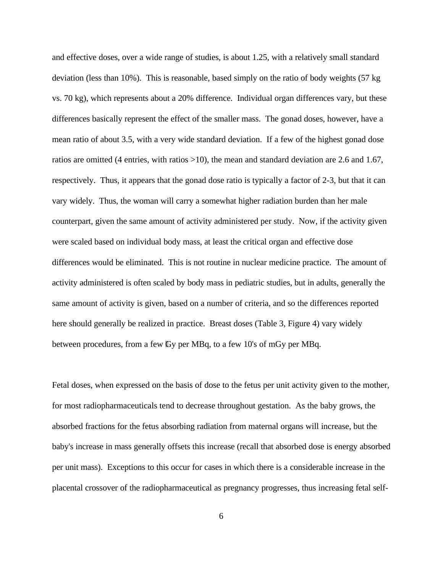and effective doses, over a wide range of studies, is about 1.25, with a relatively small standard deviation (less than 10%). This is reasonable, based simply on the ratio of body weights (57 kg vs. 70 kg), which represents about a 20% difference. Individual organ differences vary, but these differences basically represent the effect of the smaller mass. The gonad doses, however, have a mean ratio of about 3.5, with a very wide standard deviation. If a few of the highest gonad dose ratios are omitted (4 entries, with ratios >10), the mean and standard deviation are 2.6 and 1.67, respectively. Thus, it appears that the gonad dose ratio is typically a factor of 2-3, but that it can vary widely. Thus, the woman will carry a somewhat higher radiation burden than her male counterpart, given the same amount of activity administered per study. Now, if the activity given were scaled based on individual body mass, at least the critical organ and effective dose differences would be eliminated. This is not routine in nuclear medicine practice. The amount of activity administered is often scaled by body mass in pediatric studies, but in adults, generally the same amount of activity is given, based on a number of criteria, and so the differences reported here should generally be realized in practice. Breast doses (Table 3, Figure 4) vary widely between procedures, from a few Gy per MBq, to a few 10's of mGy per MBq.

Fetal doses, when expressed on the basis of dose to the fetus per unit activity given to the mother, for most radiopharmaceuticals tend to decrease throughout gestation. As the baby grows, the absorbed fractions for the fetus absorbing radiation from maternal organs will increase, but the baby's increase in mass generally offsets this increase (recall that absorbed dose is energy absorbed per unit mass). Exceptions to this occur for cases in which there is a considerable increase in the placental crossover of the radiopharmaceutical as pregnancy progresses, thus increasing fetal self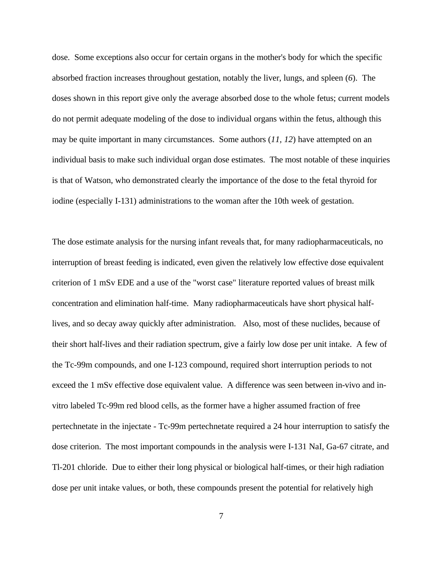dose. Some exceptions also occur for certain organs in the mother's body for which the specific absorbed fraction increases throughout gestation, notably the liver, lungs, and spleen (*6*). The doses shown in this report give only the average absorbed dose to the whole fetus; current models do not permit adequate modeling of the dose to individual organs within the fetus, although this may be quite important in many circumstances. Some authors (*11, 12*) have attempted on an individual basis to make such individual organ dose estimates. The most notable of these inquiries is that of Watson, who demonstrated clearly the importance of the dose to the fetal thyroid for iodine (especially I-131) administrations to the woman after the 10th week of gestation.

The dose estimate analysis for the nursing infant reveals that, for many radiopharmaceuticals, no interruption of breast feeding is indicated, even given the relatively low effective dose equivalent criterion of 1 mSv EDE and a use of the "worst case" literature reported values of breast milk concentration and elimination half-time. Many radiopharmaceuticals have short physical halflives, and so decay away quickly after administration. Also, most of these nuclides, because of their short half-lives and their radiation spectrum, give a fairly low dose per unit intake. A few of the Tc-99m compounds, and one I-123 compound, required short interruption periods to not exceed the 1 mSv effective dose equivalent value. A difference was seen between in-vivo and invitro labeled Tc-99m red blood cells, as the former have a higher assumed fraction of free pertechnetate in the injectate - Tc-99m pertechnetate required a 24 hour interruption to satisfy the dose criterion. The most important compounds in the analysis were I-131 NaI, Ga-67 citrate, and Tl-201 chloride. Due to either their long physical or biological half-times, or their high radiation dose per unit intake values, or both, these compounds present the potential for relatively high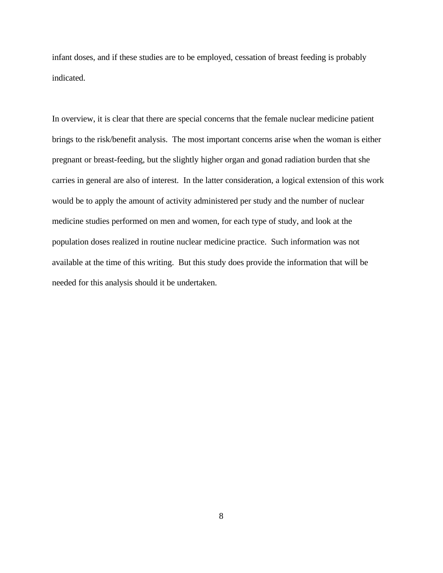infant doses, and if these studies are to be employed, cessation of breast feeding is probably indicated.

In overview, it is clear that there are special concerns that the female nuclear medicine patient brings to the risk/benefit analysis. The most important concerns arise when the woman is either pregnant or breast-feeding, but the slightly higher organ and gonad radiation burden that she carries in general are also of interest. In the latter consideration, a logical extension of this work would be to apply the amount of activity administered per study and the number of nuclear medicine studies performed on men and women, for each type of study, and look at the population doses realized in routine nuclear medicine practice. Such information was not available at the time of this writing. But this study does provide the information that will be needed for this analysis should it be undertaken.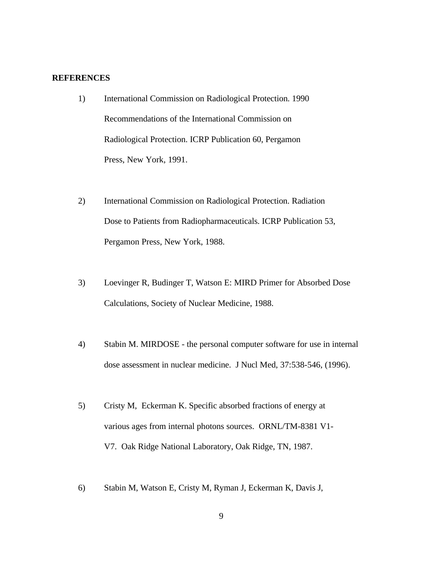## **REFERENCES**

- 1) International Commission on Radiological Protection. 1990 Recommendations of the International Commission on Radiological Protection. ICRP Publication 60, Pergamon Press, New York, 1991.
- 2) International Commission on Radiological Protection. Radiation Dose to Patients from Radiopharmaceuticals. ICRP Publication 53, Pergamon Press, New York, 1988.
- 3) Loevinger R, Budinger T, Watson E: MIRD Primer for Absorbed Dose Calculations, Society of Nuclear Medicine, 1988.
- 4) Stabin M. MIRDOSE the personal computer software for use in internal dose assessment in nuclear medicine. J Nucl Med, 37:538-546, (1996).
- 5) Cristy M, Eckerman K. Specific absorbed fractions of energy at various ages from internal photons sources. ORNL/TM-8381 V1- V7. Oak Ridge National Laboratory, Oak Ridge, TN, 1987.
- 6) Stabin M, Watson E, Cristy M, Ryman J, Eckerman K, Davis J,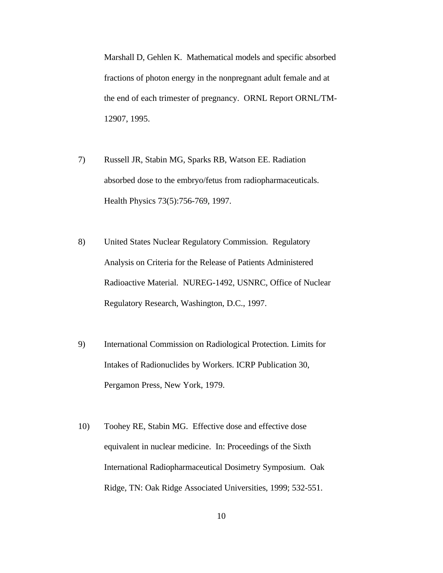Marshall D, Gehlen K. Mathematical models and specific absorbed fractions of photon energy in the nonpregnant adult female and at the end of each trimester of pregnancy. ORNL Report ORNL/TM-12907, 1995.

- 7) Russell JR, Stabin MG, Sparks RB, Watson EE. Radiation absorbed dose to the embryo/fetus from radiopharmaceuticals. Health Physics 73(5):756-769, 1997.
- 8) United States Nuclear Regulatory Commission. Regulatory Analysis on Criteria for the Release of Patients Administered Radioactive Material. NUREG-1492, USNRC, Office of Nuclear Regulatory Research, Washington, D.C., 1997.
- 9) International Commission on Radiological Protection. Limits for Intakes of Radionuclides by Workers. ICRP Publication 30, Pergamon Press, New York, 1979.
- 10) Toohey RE, Stabin MG. Effective dose and effective dose equivalent in nuclear medicine. In: Proceedings of the Sixth International Radiopharmaceutical Dosimetry Symposium. Oak Ridge, TN: Oak Ridge Associated Universities, 1999; 532-551.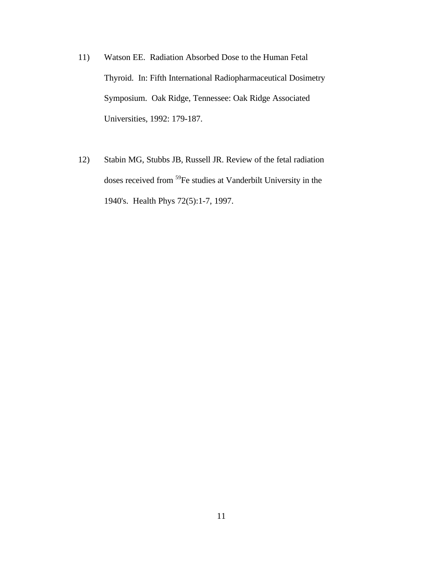- 11) Watson EE. Radiation Absorbed Dose to the Human Fetal Thyroid. In: Fifth International Radiopharmaceutical Dosimetry Symposium. Oak Ridge, Tennessee: Oak Ridge Associated Universities, 1992: 179-187.
- 12) Stabin MG, Stubbs JB, Russell JR. Review of the fetal radiation doses received from <sup>59</sup>Fe studies at Vanderbilt University in the 1940's. Health Phys 72(5):1-7, 1997.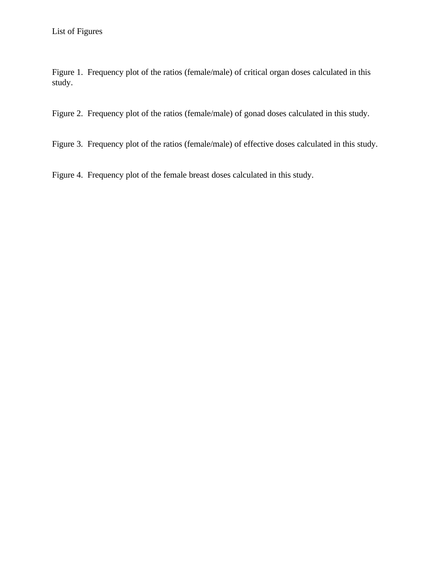Figure 1. Frequency plot of the ratios (female/male) of critical organ doses calculated in this study.

Figure 2. Frequency plot of the ratios (female/male) of gonad doses calculated in this study.

Figure 3. Frequency plot of the ratios (female/male) of effective doses calculated in this study.

Figure 4. Frequency plot of the female breast doses calculated in this study.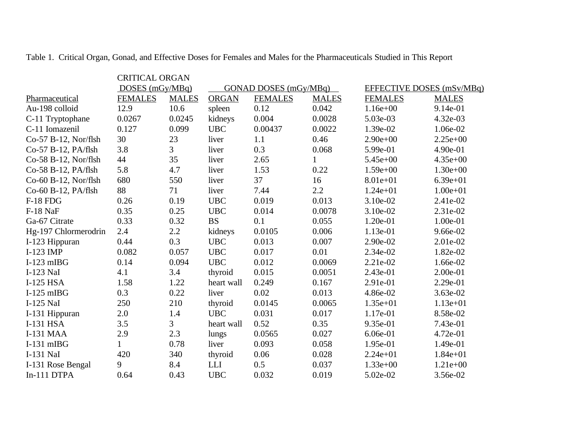|                      | <b>CRITICAL ORGAN</b><br>DOSES $(mGy/MBq)$ |                | GONAD DOSES (mGy/MBq) |                |              | EFFECTIVE DOSES (mSv/MBq) |              |
|----------------------|--------------------------------------------|----------------|-----------------------|----------------|--------------|---------------------------|--------------|
| Pharmaceutical       | <b>FEMALES</b>                             | <b>MALES</b>   | <b>ORGAN</b>          | <b>FEMALES</b> | <b>MALES</b> | <b>FEMALES</b>            | <b>MALES</b> |
| Au-198 colloid       | 12.9                                       | 10.6           | spleen                | 0.12           | 0.042        | $1.16e+00$                | 9.14e-01     |
| C-11 Tryptophane     | 0.0267                                     | 0.0245         | kidneys               | 0.004          | 0.0028       | 5.03e-03                  | 4.32e-03     |
| C-11 Iomazenil       | 0.127                                      | 0.099          | <b>UBC</b>            | 0.00437        | 0.0022       | 1.39e-02                  | 1.06e-02     |
| Co-57 B-12, Nor/flsh | 30                                         | 23             | liver                 | 1.1            | 0.46         | $2.90e+00$                | $2.25e+00$   |
| Co-57 B-12, PA/flsh  | 3.8                                        | $\overline{3}$ | liver                 | 0.3            | 0.068        | 5.99e-01                  | 4.90e-01     |
| Co-58 B-12, Nor/flsh | 44                                         | 35             | liver                 | 2.65           |              | $5.45e+00$                | $4.35e+00$   |
| Co-58 B-12, PA/flsh  | 5.8                                        | 4.7            | liver                 | 1.53           | 0.22         | $1.59e+00$                | $1.30e + 00$ |
| Co-60 B-12, Nor/flsh | 680                                        | 550            | liver                 | 37             | 16           | $8.01e+01$                | $6.39e + 01$ |
| Co-60 B-12, PA/flsh  | 88                                         | 71             | liver                 | 7.44           | 2.2          | $1.24e + 01$              | $1.00e + 01$ |
| <b>F-18 FDG</b>      | 0.26                                       | 0.19           | <b>UBC</b>            | 0.019          | 0.013        | 3.10e-02                  | 2.41e-02     |
| F-18 NaF             | 0.35                                       | 0.25           | <b>UBC</b>            | 0.014          | 0.0078       | 3.10e-02                  | 2.31e-02     |
| Ga-67 Citrate        | 0.33                                       | 0.32           | <b>BS</b>             | 0.1            | 0.055        | 1.20e-01                  | 1.00e-01     |
| Hg-197 Chlormerodrin | 2.4                                        | $2.2\,$        | kidneys               | 0.0105         | 0.006        | 1.13e-01                  | 9.66e-02     |
| I-123 Hippuran       | 0.44                                       | 0.3            | <b>UBC</b>            | 0.013          | 0.007        | 2.90e-02                  | 2.01e-02     |
| I-123 IMP            | 0.082                                      | 0.057          | <b>UBC</b>            | 0.017          | 0.01         | 2.34e-02                  | 1.82e-02     |
| $I-123$ mIBG         | 0.14                                       | 0.094          | <b>UBC</b>            | 0.012          | 0.0069       | $2.21e-02$                | 1.66e-02     |
| I-123 NaI            | 4.1                                        | 3.4            | thyroid               | 0.015          | 0.0051       | 2.43e-01                  | 2.00e-01     |
| I-125 HSA            | 1.58                                       | 1.22           | heart wall            | 0.249          | 0.167        | 2.91e-01                  | 2.29e-01     |
| $I-125$ mIBG         | 0.3                                        | 0.22           | liver                 | 0.02           | 0.013        | 4.86e-02                  | 3.63e-02     |
| I-125 NaI            | 250                                        | 210            | thyroid               | 0.0145         | 0.0065       | $1.35e+01$                | $1.13e+01$   |
| I-131 Hippuran       | 2.0                                        | 1.4            | <b>UBC</b>            | 0.031          | 0.017        | 1.17e-01                  | 8.58e-02     |
| <b>I-131 HSA</b>     | 3.5                                        | $\overline{3}$ | heart wall            | 0.52           | 0.35         | 9.35e-01                  | 7.43e-01     |
| <b>I-131 MAA</b>     | 2.9                                        | 2.3            | lungs                 | 0.0565         | 0.027        | 6.06e-01                  | 4.72e-01     |
| $I-131$ mIBG         | $\mathbf{1}$                               | 0.78           | liver                 | 0.093          | 0.058        | 1.95e-01                  | 1.49e-01     |
| I-131 NaI            | 420                                        | 340            | thyroid               | 0.06           | 0.028        | $2.24e+01$                | $1.84e + 01$ |
| I-131 Rose Bengal    | 9                                          | 8.4            | <b>LLI</b>            | 0.5            | 0.037        | $1.33e+00$                | $1.21e+00$   |
| In-111 DTPA          | 0.64                                       | 0.43           | <b>UBC</b>            | 0.032          | 0.019        | 5.02e-02                  | 3.56e-02     |

Table 1. Critical Organ, Gonad, and Effective Doses for Females and Males for the Pharmaceuticals Studied in This Report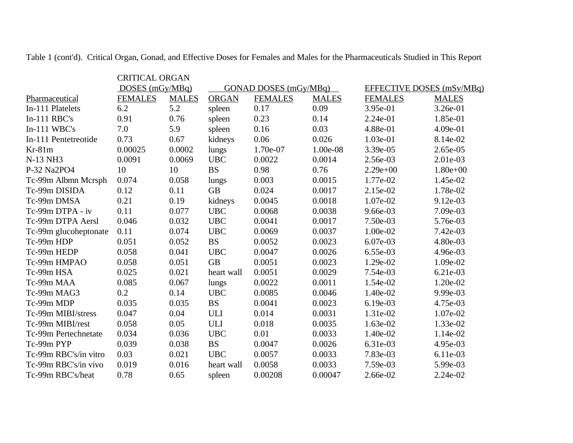|                       | <b>CRITICAL ORGAN</b> |              |                       |                |                           |                |              |
|-----------------------|-----------------------|--------------|-----------------------|----------------|---------------------------|----------------|--------------|
|                       | DOSES $(mGy/MBq)$     |              | GONAD DOSES (mGy/MBq) |                | EFFECTIVE DOSES (mSv/MBq) |                |              |
| Pharmaceutical        | <b>FEMALES</b>        | <b>MALES</b> | <b>ORGAN</b>          | <b>FEMALES</b> | <b>MALES</b>              | <b>FEMALES</b> | <b>MALES</b> |
| In-111 Platelets      | 6.2                   | 5.2          | spleen                | 0.17           | 0.09                      | 3.95e-01       | 3.26e-01     |
| $In-111$ RBC's        | 0.91                  | 0.76         | spleen                | 0.23           | 0.14                      | $2.24e-01$     | 1.85e-01     |
| $In-111$ WBC's        | 7.0                   | 5.9          | spleen                | 0.16           | 0.03                      | 4.88e-01       | 4.09e-01     |
| In-111 Pentetreotide  | 0.73                  | 0.67         | kidneys               | 0.06           | 0.026                     | 1.03e-01       | 8.14e-02     |
| $Kr-81m$              | 0.00025               | 0.0002       | lungs                 | 1.70e-07       | 1.00e-08                  | 3.39e-05       | 2.65e-05     |
| N-13 NH3              | 0.0091                | 0.0069       | <b>UBC</b>            | 0.0022         | 0.0014                    | 2.56e-03       | 2.01e-03     |
| P-32 Na2PO4           | 10                    | 10           | <b>BS</b>             | 0.98           | 0.76                      | $2.29e+00$     | $1.80e+00$   |
| Tc-99m Albmn Mcrsph   | 0.074                 | 0.058        | lungs                 | 0.003          | 0.0015                    | 1.77e-02       | 1.45e-02     |
| Tc-99m DISIDA         | 0.12                  | 0.11         | <b>GB</b>             | 0.024          | 0.0017                    | 2.15e-02       | 1.78e-02     |
| Tc-99m DMSA           | 0.21                  | 0.19         | kidneys               | 0.0045         | 0.0018                    | 1.07e-02       | 9.12e-03     |
| Tc-99m DTPA - iv      | 0.11                  | 0.077        | <b>UBC</b>            | 0.0068         | 0.0038                    | 9.66e-03       | 7.09e-03     |
| Tc-99m DTPA Aersl     | 0.046                 | 0.032        | <b>UBC</b>            | 0.0041         | 0.0017                    | 7.50e-03       | 5.76e-03     |
| Tc-99m glucoheptonate | 0.11                  | 0.074        | <b>UBC</b>            | 0.0069         | 0.0037                    | 1.00e-02       | 7.42e-03     |
| Tc-99m HDP            | 0.051                 | 0.052        | <b>BS</b>             | 0.0052         | 0.0023                    | 6.07e-03       | 4.80e-03     |
| Tc-99m HEDP           | 0.058                 | 0.041        | <b>UBC</b>            | 0.0047         | 0.0026                    | 6.55e-03       | 4.96e-03     |
| Tc-99m HMPAO          | 0.058                 | 0.051        | <b>GB</b>             | 0.0051         | 0.0023                    | 1.29e-02       | 1.09e-02     |
| Tc-99m HSA            | 0.025                 | 0.021        | heart wall            | 0.0051         | 0.0029                    | 7.54e-03       | 6.21e-03     |
| Tc-99m MAA            | 0.085                 | 0.067        | lungs                 | 0.0022         | 0.0011                    | 1.54e-02       | 1.20e-02     |
| Tc-99m MAG3           | 0.2                   | 0.14         | <b>UBC</b>            | 0.0085         | 0.0046                    | 1.40e-02       | 9.99e-03     |
| Tc-99m MDP            | 0.035                 | 0.035        | <b>BS</b>             | 0.0041         | 0.0023                    | 6.19e-03       | 4.75e-03     |
| Tc-99m MIBI/stress    | 0.047                 | 0.04         | <b>ULI</b>            | 0.014          | 0.0031                    | 1.31e-02       | 1.07e-02     |
| Tc-99m MIBI/rest      | 0.058                 | 0.05         | <b>ULI</b>            | 0.018          | 0.0035                    | 1.63e-02       | 1.33e-02     |
| Tc-99m Pertechnetate  | 0.034                 | 0.036        | <b>UBC</b>            | 0.01           | 0.0033                    | 1.40e-02       | 1.14e-02     |
| Tc-99m PYP            | 0.039                 | 0.038        | <b>BS</b>             | 0.0047         | 0.0026                    | 6.31e-03       | 4.95e-03     |
| Tc-99m RBC's/in vitro | 0.03                  | 0.021        | <b>UBC</b>            | 0.0057         | 0.0033                    | 7.83e-03       | 6.11e-03     |
| Tc-99m RBC's/in vivo  | 0.019                 | 0.016        | heart wall            | 0.0058         | 0.0033                    | 7.59e-03       | 5.99e-03     |
| Tc-99m RBC's/heat     | 0.78                  | 0.65         | spleen                | 0.00208        | 0.00047                   | 2.66e-02       | 2.24e-02     |

Table 1 (cont'd). Critical Organ, Gonad, and Effective Doses for Females and Males for the Pharmaceuticals Studied in This Report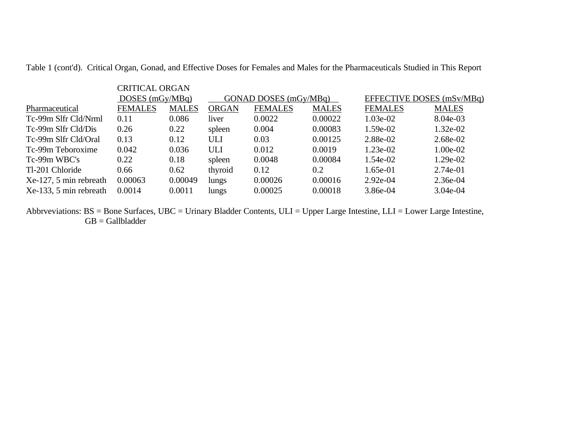Table 1 (cont'd). Critical Organ, Gonad, and Effective Doses for Females and Males for the Pharmaceuticals Studied in This Report

|                           | <b>CRITICAL ORGAN</b> |              |              |                       |              |                           |              |
|---------------------------|-----------------------|--------------|--------------|-----------------------|--------------|---------------------------|--------------|
|                           | DOSES $(mGy/MBq)$     |              |              | GONAD DOSES (mGy/MBq) |              | EFFECTIVE DOSES (mSv/MBq) |              |
| Pharmaceutical            | <b>FEMALES</b>        | <b>MALES</b> | <b>ORGAN</b> | <b>FEMALES</b>        | <b>MALES</b> | <b>FEMALES</b>            | <b>MALES</b> |
| Tc-99m Slfr Cld/Nrml      | 0.11                  | 0.086        | liver        | 0.0022                | 0.00022      | $1.03e-02$                | 8.04e-03     |
| Tc-99m Slfr Cld/Dis       | 0.26                  | 0.22         | spleen       | 0.004                 | 0.00083      | 1.59e-02                  | $1.32e-02$   |
| Tc-99m Slfr Cld/Oral      | 0.13                  | 0.12         | ULI          | 0.03                  | 0.00125      | 2.88e-02                  | 2.68e-02     |
| Tc-99m Teboroxime         | 0.042                 | 0.036        | <b>ULI</b>   | 0.012                 | 0.0019       | $1.23e-02$                | 1.00e-02     |
| Tc-99m WBC's              | 0.22                  | 0.18         | spleen       | 0.0048                | 0.00084      | 1.54e-02                  | 1.29e-02     |
| Tl-201 Chloride           | 0.66                  | 0.62         | thyroid      | 0.12                  | 0.2          | $1.65e-01$                | $2.74e-01$   |
| $Xe-127$ , 5 min rebreath | 0.00063               | 0.00049      | lungs        | 0.00026               | 0.00016      | $2.92e-04$                | $2.36e-04$   |
| Xe-133, 5 min rebreath    | 0.0014                | 0.0011       | lungs        | 0.00025               | 0.00018      | 3.86e-04                  | $3.04e-04$   |

Abbrveviations: BS = Bone Surfaces, UBC = Urinary Bladder Contents, ULI = Upper Large Intestine, LLI = Lower Large Intestine, GB = Gallbladder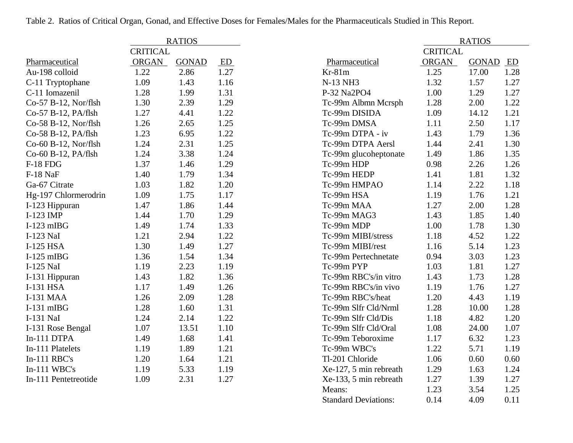|                      |                 | <b>RATIOS</b> |      |                        |                 | <b>RATIOS</b> |      |
|----------------------|-----------------|---------------|------|------------------------|-----------------|---------------|------|
|                      | <b>CRITICAL</b> |               |      |                        | <b>CRITICAL</b> |               |      |
| Pharmaceutical       | ORGAN           | <b>GONAD</b>  | ED   | Pharmaceutical         | ORGAN           | <b>GONAD</b>  | ED   |
| Au-198 colloid       | 1.22            | 2.86          | 1.27 | $Kr-81m$               | 1.25            | 17.00         | 1.28 |
| C-11 Tryptophane     | 1.09            | 1.43          | 1.16 | N-13 NH3               | 1.32            | 1.57          | 1.27 |
| C-11 Iomazenil       | 1.28            | 1.99          | 1.31 | P-32 Na2PO4            | 1.00            | 1.29          | 1.27 |
| Co-57 B-12, Nor/flsh | 1.30            | 2.39          | 1.29 | Tc-99m Albmn Mcrsph    | 1.28            | 2.00          | 1.22 |
| Co-57 B-12, PA/flsh  | 1.27            | 4.41          | 1.22 | Tc-99m DISIDA          | 1.09            | 14.12         | 1.21 |
| Co-58 B-12, Nor/flsh | 1.26            | 2.65          | 1.25 | Tc-99m DMSA            | 1.11            | 2.50          | 1.17 |
| Co-58 B-12, PA/flsh  | 1.23            | 6.95          | 1.22 | Tc-99m DTPA - iv       | 1.43            | 1.79          | 1.36 |
| Co-60 B-12, Nor/flsh | 1.24            | 2.31          | 1.25 | Tc-99m DTPA Aersl      | 1.44            | 2.41          | 1.30 |
| Co-60 B-12, PA/flsh  | 1.24            | 3.38          | 1.24 | Tc-99m glucoheptonate  | 1.49            | 1.86          | 1.35 |
| <b>F-18 FDG</b>      | 1.37            | 1.46          | 1.29 | Tc-99m HDP             | 0.98            | 2.26          | 1.26 |
| F-18 NaF             | 1.40            | 1.79          | 1.34 | Tc-99m HEDP            | 1.41            | 1.81          | 1.32 |
| Ga-67 Citrate        | 1.03            | 1.82          | 1.20 | Tc-99m HMPAO           | 1.14            | 2.22          | 1.18 |
| Hg-197 Chlormerodrin | 1.09            | 1.75          | 1.17 | Tc-99m HSA             | 1.19            | 1.76          | 1.21 |
| I-123 Hippuran       | 1.47            | 1.86          | 1.44 | Tc-99m MAA             | 1.27            | 2.00          | 1.28 |
| I-123 IMP            | 1.44            | 1.70          | 1.29 | Tc-99m MAG3            | 1.43            | 1.85          | 1.40 |
| $I-123$ mIBG         | 1.49            | 1.74          | 1.33 | Tc-99m MDP             | 1.00            | 1.78          | 1.30 |
| I-123 NaI            | 1.21            | 2.94          | 1.22 | Tc-99m MIBI/stress     | 1.18            | 4.52          | 1.22 |
| I-125 HSA            | 1.30            | 1.49          | 1.27 | Tc-99m MIBI/rest       | 1.16            | 5.14          | 1.23 |
| $I-125$ mIBG         | 1.36            | 1.54          | 1.34 | Tc-99m Pertechnetate   | 0.94            | 3.03          | 1.23 |
| I-125 NaI            | 1.19            | 2.23          | 1.19 | Tc-99m PYP             | 1.03            | 1.81          | 1.27 |
| I-131 Hippuran       | 1.43            | 1.82          | 1.36 | Tc-99m RBC's/in vitro  | 1.43            | 1.73          | 1.28 |
| <b>I-131 HSA</b>     | 1.17            | 1.49          | 1.26 | Tc-99m RBC's/in vivo   | 1.19            | 1.76          | 1.27 |
| <b>I-131 MAA</b>     | 1.26            | 2.09          | 1.28 | Tc-99m RBC's/heat      | 1.20            | 4.43          | 1.19 |
| $I-131$ mIBG         | 1.28            | 1.60          | 1.31 | Tc-99m Slfr Cld/Nrml   | 1.28            | 10.00         | 1.28 |
| I-131 NaI            | 1.24            | 2.14          | 1.22 | Tc-99m Slfr Cld/Dis    | 1.18            | 4.82          | 1.20 |
| I-131 Rose Bengal    | 1.07            | 13.51         | 1.10 | Tc-99m Slfr Cld/Oral   | 1.08            | 24.00         | 1.07 |
| In-111 DTPA          | 1.49            | 1.68          | 1.41 | Tc-99m Teboroxime      | 1.17            | 6.32          | 1.23 |
| In-111 Platelets     | 1.19            | 1.89          | 1.21 | Tc-99m WBC's           | 1.22            | 5.71          | 1.19 |
| In-111 RBC's         | 1.20            | 1.64          | 1.21 | Tl-201 Chloride        | 1.06            | 0.60          | 0.60 |
| $In-111$ WBC's       | 1.19            | 5.33          | 1.19 | Xe-127, 5 min rebreath | 1.29            | 1.63          | 1.24 |
| In-111 Pentetreotide | 1.09            | 2.31          | 1.27 | Xe-133, 5 min rebreath | 1.27            | 1.39          | 1.27 |
|                      |                 |               |      | Means:                 | 1.23            | 3.54          | 1.25 |

Standard Deviations: 0.14 4.09 0.11

Table 2. Ratios of Critical Organ, Gonad, and Effective Doses for Females/Males for the Pharmaceuticals Studied in This Report.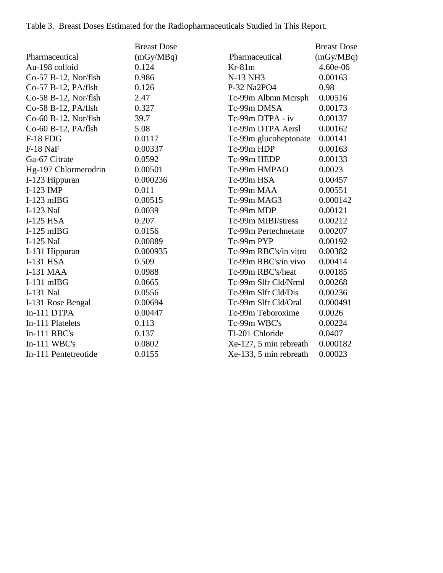Table 3. Breast Doses Estimated for the Radiopharmaceuticals Studied in This Report.

|                      | <b>Breast Dose</b> |                        | <b>Breast Dose</b> |
|----------------------|--------------------|------------------------|--------------------|
| Pharmaceutical       | (mGy/MBq)          | Pharmaceutical         | (mGy/MBq)          |
| Au-198 colloid       | 0.124              | $Kr-81m$               | 4.60e-06           |
| Co-57 B-12, Nor/flsh | 0.986              | N-13 NH3               | 0.00163            |
| Co-57 B-12, PA/flsh  | 0.126              | P-32 Na2PO4            | 0.98               |
| Co-58 B-12, Nor/flsh | 2.47               | Tc-99m Albmn Mcrsph    | 0.00516            |
| Co-58 B-12, PA/flsh  | 0.327              | Tc-99m DMSA            | 0.00173            |
| Co-60 B-12, Nor/flsh | 39.7               | Tc-99m DTPA - iv       | 0.00137            |
| Co-60 B-12, PA/flsh  | 5.08               | Tc-99m DTPA Aersl      | 0.00162            |
| <b>F-18 FDG</b>      | 0.0117             | Tc-99m glucoheptonate  | 0.00141            |
| F-18 NaF             | 0.00337            | Tc-99m HDP             | 0.00163            |
| Ga-67 Citrate        | 0.0592             | Tc-99m HEDP            | 0.00133            |
| Hg-197 Chlormerodrin | 0.00501            | Tc-99m HMPAO           | 0.0023             |
| I-123 Hippuran       | 0.000236           | Tc-99m HSA             | 0.00457            |
| I-123 IMP            | 0.011              | Tc-99m MAA             | 0.00551            |
| $I-123$ mIBG         | 0.00515            | Tc-99m MAG3            | 0.000142           |
| I-123 NaI            | 0.0039             | Tc-99m MDP             | 0.00121            |
| I-125 HSA            | 0.207              | Tc-99m MIBI/stress     | 0.00212            |
| $I-125$ mIBG         | 0.0156             | Tc-99m Pertechnetate   | 0.00207            |
| I-125 NaI            | 0.00889            | Tc-99m PYP             | 0.00192            |
| I-131 Hippuran       | 0.000935           | Tc-99m RBC's/in vitro  | 0.00382            |
| I-131 HSA            | 0.509              | Tc-99m RBC's/in vivo   | 0.00414            |
| <b>I-131 MAA</b>     | 0.0988             | Tc-99m RBC's/heat      | 0.00185            |
| $I-131$ mIBG         | 0.0665             | Tc-99m Slfr Cld/Nrml   | 0.00268            |
| I-131 NaI            | 0.0556             | Tc-99m Slfr Cld/Dis    | 0.00236            |
| I-131 Rose Bengal    | 0.00694            | Tc-99m Slfr Cld/Oral   | 0.000491           |
| In-111 DTPA          | 0.00447            | Tc-99m Teboroxime      | 0.0026             |
| In-111 Platelets     | 0.113              | Tc-99m WBC's           | 0.00224            |
| $In-111$ RBC's       | 0.137              | Tl-201 Chloride        | 0.0407             |
| $In-111$ WBC's       | 0.0802             | Xe-127, 5 min rebreath | 0.000182           |
| In-111 Pentetreotide | 0.0155             | Xe-133, 5 min rebreath | 0.00023            |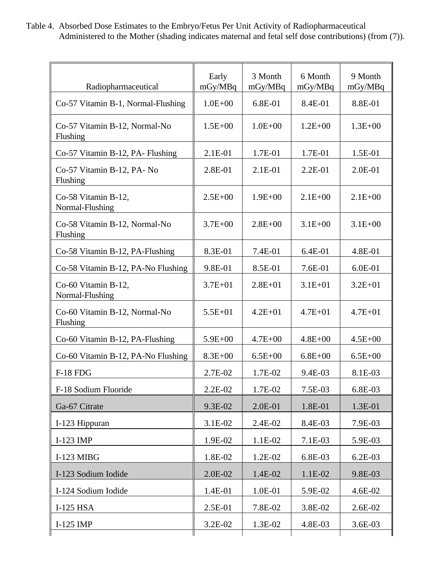Table 4. Absorbed Dose Estimates to the Embryo/Fetus Per Unit Activity of Radiopharmaceutical Administered to the Mother (shading indicates maternal and fetal self dose contributions) (from (7)).

| Radiopharmaceutical                       | Early<br>mGy/MBq | 3 Month<br>mGy/MBq | 6 Month<br>mGy/MBq | 9 Month<br>mGy/MBq |
|-------------------------------------------|------------------|--------------------|--------------------|--------------------|
| Co-57 Vitamin B-1, Normal-Flushing        | $1.0E + 00$      | $6.8E-01$          | 8.4E-01            | 8.8E-01            |
| Co-57 Vitamin B-12, Normal-No<br>Flushing | $1.5E + 00$      | $1.0E + 00$        | $1.2E + 00$        | $1.3E + 00$        |
| Co-57 Vitamin B-12, PA- Flushing          | 2.1E-01          | 1.7E-01            | 1.7E-01            | 1.5E-01            |
| Co-57 Vitamin B-12, PA- No<br>Flushing    | 2.8E-01          | 2.1E-01            | $2.2E-01$          | $2.0E-01$          |
| Co-58 Vitamin B-12,<br>Normal-Flushing    | $2.5E + 00$      | $1.9E + 00$        | $2.1E+00$          | $2.1E + 00$        |
| Co-58 Vitamin B-12, Normal-No<br>Flushing | $3.7E + 00$      | $2.8E + 00$        | $3.1E + 00$        | $3.1E + 00$        |
| Co-58 Vitamin B-12, PA-Flushing           | 8.3E-01          | 7.4E-01            | 6.4E-01            | 4.8E-01            |
| Co-58 Vitamin B-12, PA-No Flushing        | 9.8E-01          | 8.5E-01            | 7.6E-01            | 6.0E-01            |
| Co-60 Vitamin B-12,<br>Normal-Flushing    | $3.7E + 01$      | $2.8E + 01$        | $3.1E + 01$        | $3.2E + 01$        |
| Co-60 Vitamin B-12, Normal-No<br>Flushing | $5.5E + 01$      | $4.2E + 01$        | $4.7E + 01$        | $4.7E + 01$        |
| Co-60 Vitamin B-12, PA-Flushing           | $5.9E + 00$      | $4.7E + 00$        | $4.8E + 00$        | $4.5E + 00$        |
| Co-60 Vitamin B-12, PA-No Flushing        | $8.3E + 00$      | $6.5E + 00$        | $6.8E + 00$        | $6.5E + 00$        |
| <b>F-18 FDG</b>                           | 2.7E-02          | 1.7E-02            | 9.4E-03            | 8.1E-03            |
| F-18 Sodium Fluoride                      | 2.2E-02          | 1.7E-02            | 7.5E-03            | 6.8E-03            |
| Ga-67 Citrate                             | 9.3E-02          | 2.0E-01            | 1.8E-01            | 1.3E-01            |
| I-123 Hippuran                            | 3.1E-02          | 2.4E-02            | 8.4E-03            | 7.9E-03            |
| I-123 IMP                                 | 1.9E-02          | 1.1E-02            | 7.1E-03            | 5.9E-03            |
| <b>I-123 MIBG</b>                         | 1.8E-02          | 1.2E-02            | 6.8E-03            | $6.2E-03$          |
| I-123 Sodium Iodide                       | 2.0E-02          | 1.4E-02            | 1.1E-02            | 9.8E-03            |
| I-124 Sodium Iodide                       | 1.4E-01          | 1.0E-01            | 5.9E-02            | 4.6E-02            |
| $I-125$ HSA                               | 2.5E-01          | 7.8E-02            | 3.8E-02            | 2.6E-02            |
| $I-125$ IMP                               | 3.2E-02          | 1.3E-02            | 4.8E-03            | 3.6E-03            |
|                                           |                  |                    |                    |                    |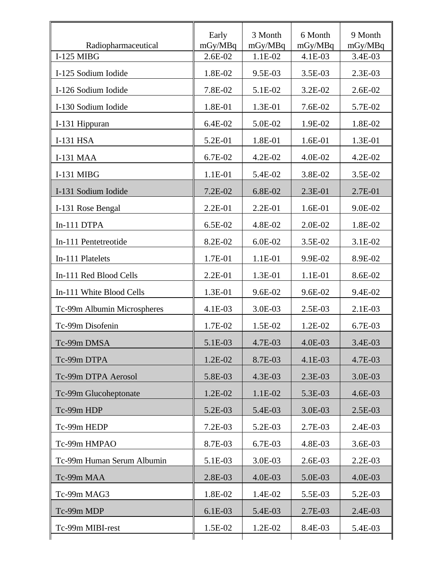| Radiopharmaceutical<br><b>I-125 MIBG</b> | Early<br>mGy/MBq<br>2.6E-02 | 3 Month<br>mGy/MBq<br>1.1E-02 | 6 Month<br>mGy/MBq<br>4.1E-03 | 9 Month<br>mGy/MBq<br>3.4E-03 |
|------------------------------------------|-----------------------------|-------------------------------|-------------------------------|-------------------------------|
| I-125 Sodium Iodide                      | 1.8E-02                     | 9.5E-03                       | 3.5E-03                       | 2.3E-03                       |
| I-126 Sodium Iodide                      | 7.8E-02                     | 5.1E-02                       | 3.2E-02                       | 2.6E-02                       |
| I-130 Sodium Iodide                      | 1.8E-01                     | 1.3E-01                       | 7.6E-02                       | 5.7E-02                       |
|                                          | 6.4E-02                     |                               |                               |                               |
| I-131 Hippuran                           |                             | 5.0E-02                       | 1.9E-02                       | 1.8E-02                       |
| I-131 HSA                                | 5.2E-01                     | 1.8E-01                       | 1.6E-01                       | 1.3E-01                       |
| <b>I-131 MAA</b>                         | 6.7E-02                     | 4.2E-02                       | 4.0E-02                       | 4.2E-02                       |
| I-131 MIBG                               | 1.1E-01                     | 5.4E-02                       | 3.8E-02                       | 3.5E-02                       |
| I-131 Sodium Iodide                      | 7.2E-02                     | 6.8E-02                       | 2.3E-01                       | 2.7E-01                       |
| I-131 Rose Bengal                        | 2.2E-01                     | 2.2E-01                       | 1.6E-01                       | 9.0E-02                       |
| In-111 DTPA                              | 6.5E-02                     | 4.8E-02                       | 2.0E-02                       | 1.8E-02                       |
| In-111 Pentetreotide                     | 8.2E-02                     | 6.0E-02                       | 3.5E-02                       | 3.1E-02                       |
| In-111 Platelets                         | 1.7E-01                     | 1.1E-01                       | 9.9E-02                       | 8.9E-02                       |
| In-111 Red Blood Cells                   | 2.2E-01                     | 1.3E-01                       | 1.1E-01                       | 8.6E-02                       |
| In-111 White Blood Cells                 | 1.3E-01                     | 9.6E-02                       | 9.6E-02                       | 9.4E-02                       |
| Tc-99m Albumin Microspheres              | 4.1E-03                     | 3.0E-03                       | 2.5E-03                       | 2.1E-03                       |
| Tc-99m Disofenin                         | 1.7E-02                     | 1.5E-02                       | 1.2E-02                       | 6.7E-03                       |
| Tc-99m DMSA                              | 5.1E-03                     | 4.7E-03                       | 4.0E-03                       | 3.4E-03                       |
| Tc-99m DTPA                              | 1.2E-02                     | 8.7E-03                       | 4.1E-03                       | 4.7E-03                       |
| Tc-99m DTPA Aerosol                      | 5.8E-03                     | 4.3E-03                       | 2.3E-03                       | 3.0E-03                       |
| Tc-99m Glucoheptonate                    | 1.2E-02                     | 1.1E-02                       | 5.3E-03                       | 4.6E-03                       |
| Tc-99m HDP                               | 5.2E-03                     | 5.4E-03                       | 3.0E-03                       | 2.5E-03                       |
| Tc-99m HEDP                              | 7.2E-03                     | 5.2E-03                       | 2.7E-03                       | 2.4E-03                       |
| Tc-99m HMPAO                             | 8.7E-03                     | 6.7E-03                       | 4.8E-03                       | 3.6E-03                       |
| Tc-99m Human Serum Albumin               | 5.1E-03                     | 3.0E-03                       | 2.6E-03                       | 2.2E-03                       |
| Tc-99m MAA                               | 2.8E-03                     | 4.0E-03                       | 5.0E-03                       | 4.0E-03                       |
| Tc-99m MAG3                              | 1.8E-02                     | 1.4E-02                       | 5.5E-03                       | 5.2E-03                       |
| Tc-99m MDP                               | 6.1E-03                     | 5.4E-03                       | 2.7E-03                       | 2.4E-03                       |
| Tc-99m MIBI-rest                         | 1.5E-02                     | 1.2E-02                       | 8.4E-03                       | 5.4E-03                       |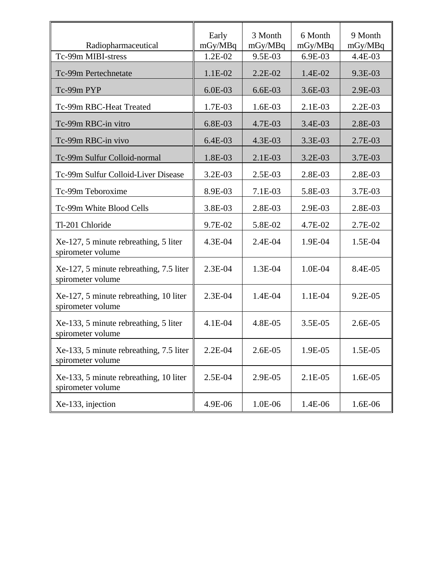| Radiopharmaceutical                                          | Early<br>mGy/MBq | 3 Month<br>mGy/MBq | 6 Month<br>mGy/MBq | 9 Month<br>mgy/MBq |
|--------------------------------------------------------------|------------------|--------------------|--------------------|--------------------|
| Tc-99m MIBI-stress                                           | 1.2E-02          | 9.5E-03            | 6.9E-03            | 4.4E-03            |
| Tc-99m Pertechnetate                                         | 1.1E-02          | $2.2E-02$          | 1.4E-02            | 9.3E-03            |
| Tc-99m PYP                                                   | 6.0E-03          | $6.6E-03$          | 3.6E-03            | 2.9E-03            |
| Tc-99m RBC-Heat Treated                                      | 1.7E-03          | 1.6E-03            | $2.1E-03$          | $2.2E-03$          |
| Tc-99m RBC-in vitro                                          | 6.8E-03          | 4.7E-03            | 3.4E-03            | 2.8E-03            |
| Tc-99m RBC-in vivo                                           | 6.4E-03          | 4.3E-03            | 3.3E-03            | 2.7E-03            |
| Tc-99m Sulfur Colloid-normal                                 | 1.8E-03          | $2.1E-03$          | 3.2E-03            | 3.7E-03            |
| Tc-99m Sulfur Colloid-Liver Disease                          | 3.2E-03          | 2.5E-03            | 2.8E-03            | 2.8E-03            |
| Tc-99m Teboroxime                                            | 8.9E-03          | 7.1E-03            | 5.8E-03            | 3.7E-03            |
| Tc-99m White Blood Cells                                     | 3.8E-03          | 2.8E-03            | 2.9E-03            | 2.8E-03            |
| Tl-201 Chloride                                              | 9.7E-02          | 5.8E-02            | 4.7E-02            | 2.7E-02            |
| Xe-127, 5 minute rebreathing, 5 liter<br>spirometer volume   | 4.3E-04          | $2.4E-04$          | 1.9E-04            | 1.5E-04            |
| Xe-127, 5 minute rebreathing, 7.5 liter<br>spirometer volume | 2.3E-04          | 1.3E-04            | 1.0E-04            | 8.4E-05            |
| Xe-127, 5 minute rebreathing, 10 liter<br>spirometer volume  | 2.3E-04          | 1.4E-04            | 1.1E-04            | $9.2E-05$          |
| Xe-133, 5 minute rebreathing, 5 liter<br>spirometer volume   | 4.1E-04          | 4.8E-05            | $3.5E-05$          | $2.6E-05$          |
| Xe-133, 5 minute rebreathing, 7.5 liter<br>spirometer volume | $2.2E-04$        | 2.6E-05            | 1.9E-05            | 1.5E-05            |
| Xe-133, 5 minute rebreathing, 10 liter<br>spirometer volume  | 2.5E-04          | 2.9E-05            | 2.1E-05            | 1.6E-05            |
| Xe-133, injection                                            | 4.9E-06          | 1.0E-06            | 1.4E-06            | 1.6E-06            |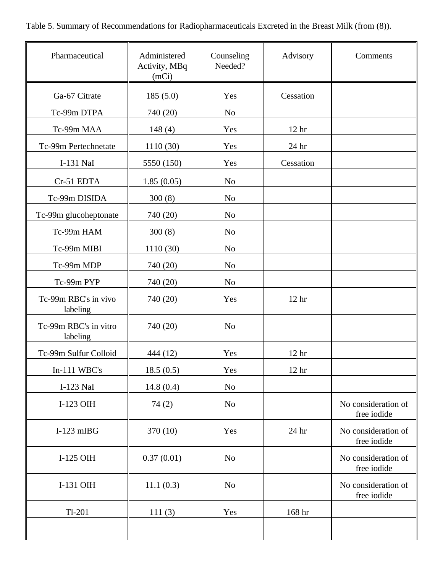Table 5. Summary of Recommendations for Radiopharmaceuticals Excreted in the Breast Milk (from (8)).

| Pharmaceutical                    | Administered<br>Activity, MBq<br>(mCi) | Counseling<br>Needed? | Advisory         | Comments                           |
|-----------------------------------|----------------------------------------|-----------------------|------------------|------------------------------------|
| Ga-67 Citrate                     | 185(5.0)                               | Yes                   | Cessation        |                                    |
| Tc-99m DTPA                       | 740 (20)                               | N <sub>0</sub>        |                  |                                    |
| Tc-99m MAA                        | 148(4)                                 | Yes                   | 12 <sup>hr</sup> |                                    |
| Tc-99m Pertechnetate              | 1110 (30)                              | Yes                   | 24 hr            |                                    |
| I-131 NaI                         | 5550 (150)                             | Yes                   | Cessation        |                                    |
| Cr-51 EDTA                        | 1.85(0.05)                             | N <sub>o</sub>        |                  |                                    |
| Tc-99m DISIDA                     | 300(8)                                 | N <sub>o</sub>        |                  |                                    |
| Tc-99m glucoheptonate             | 740 (20)                               | N <sub>o</sub>        |                  |                                    |
| Tc-99m HAM                        | 300(8)                                 | N <sub>o</sub>        |                  |                                    |
| Tc-99m MIBI                       | 1110 (30)                              | N <sub>o</sub>        |                  |                                    |
| Tc-99m MDP                        | 740 (20)                               | N <sub>o</sub>        |                  |                                    |
| Tc-99m PYP                        | 740 (20)                               | N <sub>o</sub>        |                  |                                    |
| Tc-99m RBC's in vivo<br>labeling  | 740 (20)                               | Yes                   | 12 <sub>hr</sub> |                                    |
| Tc-99m RBC's in vitro<br>labeling | 740 (20)                               | N <sub>o</sub>        |                  |                                    |
| Tc-99m Sulfur Colloid             | 444 (12)                               | Yes                   | 12 <sup>hr</sup> |                                    |
| In-111 WBC's                      | 18.5(0.5)                              | Yes                   | 12 <sup>hr</sup> |                                    |
| I-123 NaI                         | 14.8(0.4)                              | N <sub>o</sub>        |                  |                                    |
| I-123 OIH                         | 74(2)                                  | N <sub>o</sub>        |                  | No consideration of<br>free iodide |
| $I-123$ mIBG                      | 370 (10)                               | Yes                   | 24 hr            | No consideration of<br>free iodide |
| I-125 OIH                         | 0.37(0.01)                             | N <sub>o</sub>        |                  | No consideration of<br>free iodide |
| I-131 OIH                         | 11.1(0.3)                              | N <sub>o</sub>        |                  | No consideration of<br>free iodide |
| $Tl-201$                          | 111(3)                                 | Yes                   | 168 hr           |                                    |
|                                   |                                        |                       |                  |                                    |